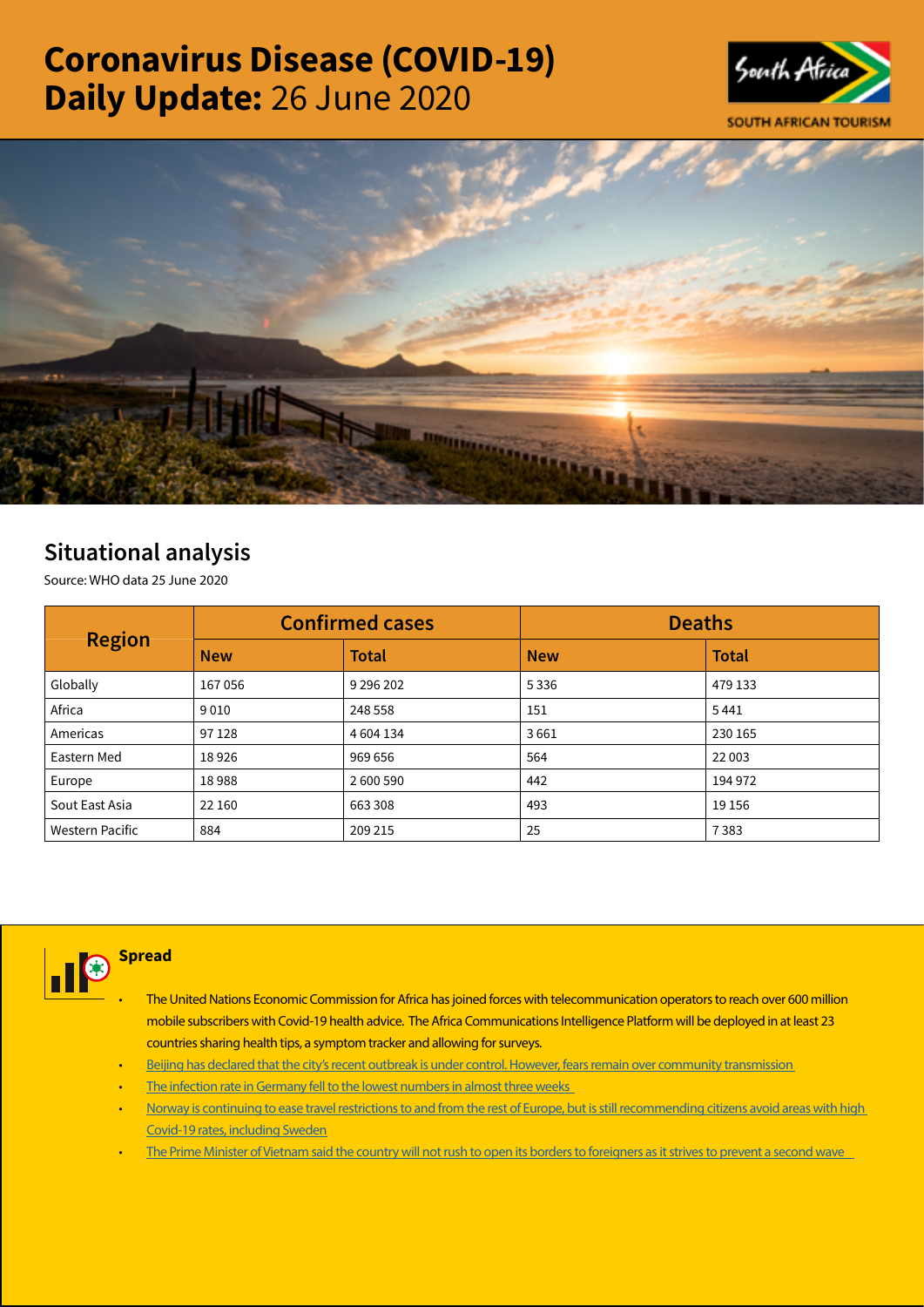# Coronavirus Disease (COVID-19) Daily Update: 26 June 2020





## Situational analysis

Source: WHO data 25 June 2020

| <b>Region</b>   |            | <b>Confirmed cases</b> | <b>Deaths</b> |              |  |
|-----------------|------------|------------------------|---------------|--------------|--|
|                 | <b>New</b> | <b>Total</b>           | <b>New</b>    | <b>Total</b> |  |
| Globally        | 167056     | 9 296 202              | 5336          | 479 133      |  |
| Africa          | 9010       | 248 558                | 151           | 5441         |  |
| Americas        | 97 1 28    | 4 604 134              | 3661          | 230 165      |  |
| Eastern Med     | 18926      | 969 656                | 564           | 22 003       |  |
| Europe          | 18988      | 2600590                | 442           | 194 972      |  |
| Sout East Asia  | 22 160     | 663 308                | 493           | 19 15 6      |  |
| Western Pacific | 884        | 209 215                | 25            | 7383         |  |



### **Spread**

- The United Nations Economic Commission for Africa has joined forces with telecommunication operators to reach over 600 million mobile subscribers with Covid-19 health advice. The Africa Communications Intelligence Platform will be deployed in at least 23 countries sharing health tips, a symptom tracker and allowing for surveys.
- [Beijing has declared that the city's recent outbreak is under control. However, fears remain over community transmission](https://is.gd/H2cWk7)
- The infection rate in Germany fell to the lowest numbers in almost three weeks
- [Norway is continuing to ease travel restrictions to and from the rest of Europe, but is still recommending citizens avoid areas with high](https://t.co/HgkLZXDIDl?amp=1)  [Covid-19 rates, including Sweden](https://t.co/HgkLZXDIDl?amp=1)
- The Prime Minister of Vietnam said the country will not rush to open its borders to foreigners as it strives to prevent a second wave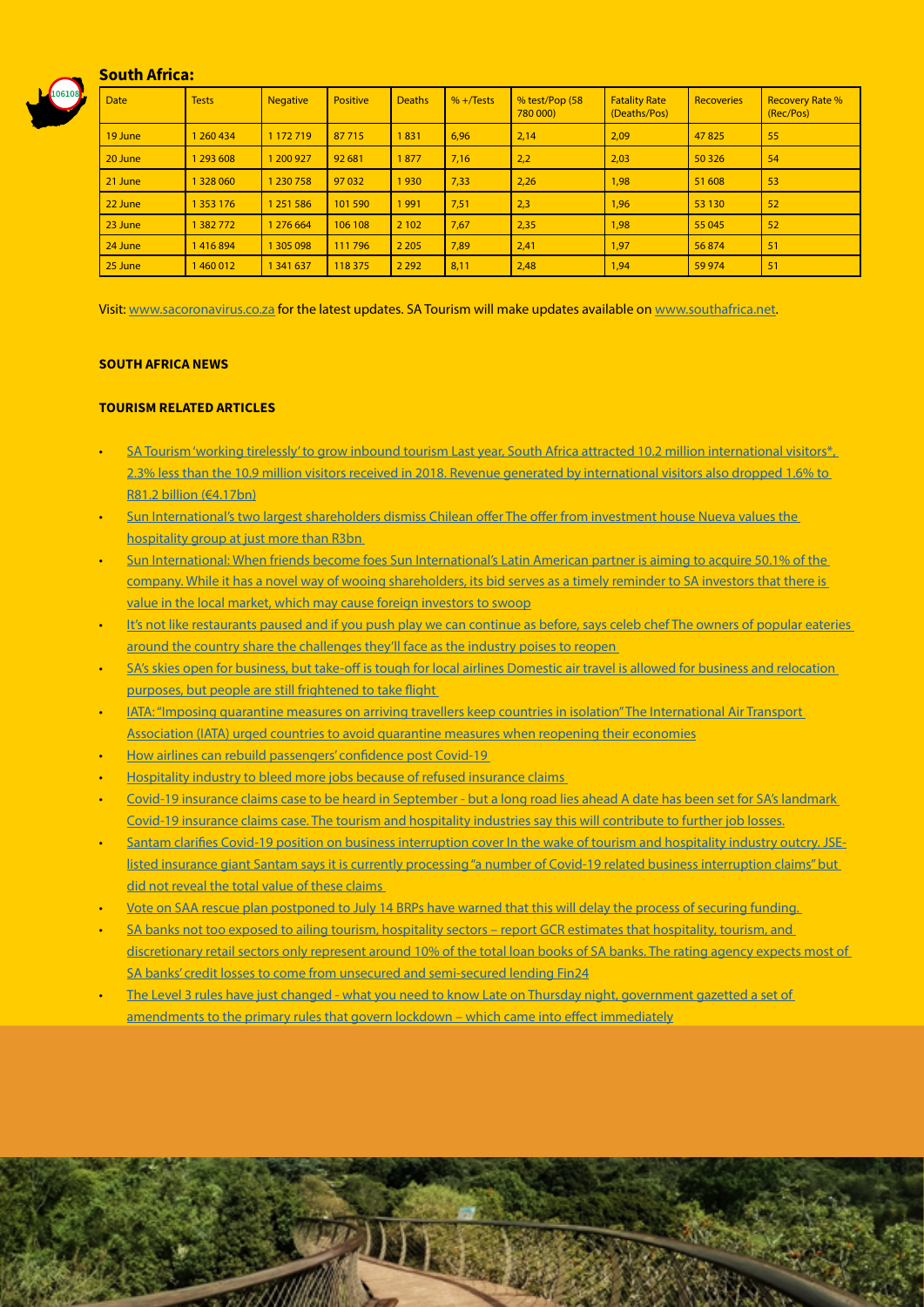#### South Africa:



| <b>Date</b> | <b>Tests</b> | <b>Negative</b> | <b>Positive</b> | <b>Deaths</b> | $% +$ Tests | % test/Pop (58<br>780 000) | <b>Fatality Rate</b><br>(Deaths/Pos) | <b>Recoveries</b> | <b>Recovery Rate %</b><br>(Rec/Pos) |
|-------------|--------------|-----------------|-----------------|---------------|-------------|----------------------------|--------------------------------------|-------------------|-------------------------------------|
| 19 June     | 1 260 434    | 1 172 719       | 87 715          | 1831          | 6,96        | 2,14                       | 2,09                                 | 47825             | 55                                  |
| 20 June     | 293 608      | 1 200 927       | 92 681          | 1877          | 7,16        | 2,2                        | 2,03                                 | 50 3 26           | 54                                  |
| 21 June     | 328 060      | 1 230 758       | 97 032          | 1930          | 7,33        | 2,26                       | 1,98                                 | 51 608            | 53                                  |
| 22 June     | 353 176      | 1 251 586       | 101 590         | 1991          | 7,51        | 2,3                        | 1,96                                 | 53 130            | 52                                  |
| 23 June     | 1382772      | 1 276 664       | 106 108         | 2 1 0 2       | 7,67        | 2,35                       | 1,98                                 | 55 045            | 52                                  |
| 24 June     | 1416894      | 1 305 098       | 111796          | 2 2 0 5       | 7,89        | 2,41                       | 1,97                                 | 56874             | 51                                  |
| 25 June     | 1460012      | 1 341 637       | 118 375         | 2 2 9 2       | 8,11        | 2,48                       | 1,94                                 | 59 974            | 51                                  |

Visit: [www.sacoronavirus.co.za](http://www.sacoronavirus.co.za) for the latest updates. SA Tourism will make updates available on [www.southafrica.net.](http://www.southafrica.net)

#### SOUTH AFRICA NEWS

#### TOURISM RELATED ARTICLES

- SA Tourism 'working tirelessly' to grow inbound tourism Last year, South Africa attracted 10.2 million international visitors\*, [2.3% less than the 10.9 million visitors received in 2018. Revenue generated by international visitors also dropped 1.6% to](http://www.tourismupdate.co.za/article/199697/SA-Tourism-working-tirelessly-to-grow-inbound-tourism)  [R81.2 billion \(€4.17bn\)](http://www.tourismupdate.co.za/article/199697/SA-Tourism-working-tirelessly-to-grow-inbound-tourism)
- [Sun International's two largest shareholders dismiss Chilean offer The offer from investment house Nueva values the](https://www.businesslive.co.za/bd/companies/transport-and-tourism/2020-06-sun-internationals-two-largest-shareholders-dismiss-chilean-offer/)  [hospitality group at just more than R3bn](https://www.businesslive.co.za/bd/companies/transport-and-tourism/2020-06-sun-internationals-two-largest-shareholders-dismiss-chilean-offer/)
- [Sun International: When friends become foes Sun International's Latin American partner is aiming to acquire 50.1% of the](https://www.dailymaverick.co.za/article/2020-06-25-sun-international-when-friends-become-foes/#gsc.tab=0)  [company. While it has a novel way of wooing shareholders, its bid serves as a timely reminder to SA investors that there is](https://www.dailymaverick.co.za/article/2020-06-25-sun-international-when-friends-become-foes/#gsc.tab=0)  [value in the local market, which may cause foreign investors to swoop](https://www.dailymaverick.co.za/article/2020-06-25-sun-international-when-friends-become-foes/#gsc.tab=0)
- It's not like restaurants paused and if you push play we can continue as before, says celeb chef The owners of popular eateries [around the country share the challenges they'll face as the industry poises to reopen](https://www.timeslive.co.za/sunday-times/lifestyle/food/2020-06-25-its-not-like-restaurants-paused-and-if-you-push-play-we-can-continue-as-before-says-celeb-chef/)
- SA's skies open for business, but take-off is tough for local airlines Domestic air travel is allowed for business and relocation [purposes, but people are still frightened to take flight](https://select.timeslive.co.za/news/2020-06-26-sas-skies-open-for-business-but-take-off-is-tough-for-local-airlines/)
- [IATA: "Imposing quarantine measures on arriving travellers keep countries in isolation" The International Air Transport](https://www.iol.co.za/travel/travel-news/iata-imposing-quarantine-measures-on-arriving-travellers-keep-countries-in-isolation-49960293)  [Association \(IATA\) urged countries to avoid quarantine measures when reopening their economies](https://www.iol.co.za/travel/travel-news/iata-imposing-quarantine-measures-on-arriving-travellers-keep-countries-in-isolation-49960293)
- [How airlines can rebuild passengers' confidence post Covid-19](https://www.iol.co.za/travel/world/how-airlines-can-rebuild-passengers-confidence-post-covid-19-49882324)
- [Hospitality industry to bleed more jobs because of refused insurance claims](https://www.iol.co.za/business-report/economy/hospitality-industry-to-bleed-more-jobs-because-of-refused-insurance-claims-49915068)
- [Covid-19 insurance claims case to be heard in September but a long road lies ahead A date has been set for SA's landmark](https://www.news24.com/fin24/companies/financial-services/covid-19-insurance-claims-case-to-be-heard-in-september-but-a-long-road-lies-ahead-20200626)  [Covid-19 insurance claims case. The tourism and hospitality industries say this will contribute to further job losses.](https://www.news24.com/fin24/companies/financial-services/covid-19-insurance-claims-case-to-be-heard-in-september-but-a-long-road-lies-ahead-20200626)
- [Santam clarifies Covid-19 position on business interruption cover In the wake of tourism and hospitality industry outcry. JSE](https://www.moneyweb.co.za/news/companies-and-deals/santam-clarifies-covid-19-position-on-business-interruption-cover/)listed insurance giant Santam says it is currently processing "a number of Covid-19 related business interruption claims" but [did not reveal the total value of these claims](https://www.moneyweb.co.za/news/companies-and-deals/santam-clarifies-covid-19-position-on-business-interruption-cover/)
- [Vote on SAA rescue plan postponed to July 14 BRPs have warned that this will delay the process of securing funding.](https://www.moneyweb.co.za/news/south-africa/vote-on-saa-rescue-plan-postponed-to-july-14/)
- SA banks not too exposed to ailing tourism, hospitality sectors report GCR estimates that hospitality, tourism, and [discretionary retail sectors only represent around 10% of the total loan books of SA banks. The rating agency expects most of](https://www.news24.com/fin24/companies/financial-services/sa-banks-not-too-exposed-to-ailing-tourism-hospitality-sectors-report-20200625)  [SA banks' credit losses to come from unsecured and semi-secured lending Fin24](https://www.news24.com/fin24/companies/financial-services/sa-banks-not-too-exposed-to-ailing-tourism-hospitality-sectors-report-20200625)
- The Level 3 rules have just changed what you need to know Late on Thursday night, government gazetted a set of [amendments to the primary rules that govern lockdown – which came into effect immediately](https://www.businessinsider.co.za/new-level-3-regulations-2020-6)

D.H.